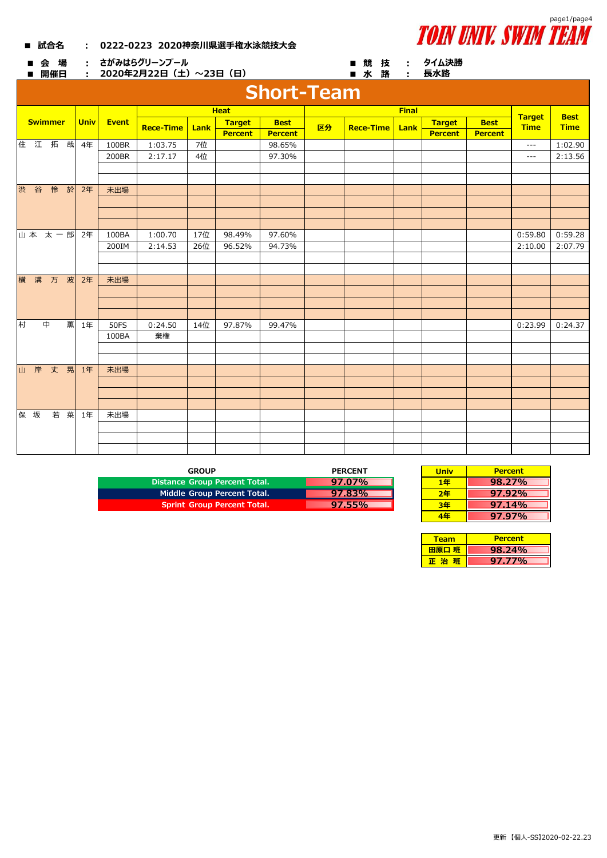| ■ 試合名 | 0222-0223 2020神奈川県選手権水泳競技大会 |
|-------|-----------------------------|
|-------|-----------------------------|



| 会 場<br>■<br>開催日 |             |             |              | ・ さがみはらグリーンプール<br>: 2020年2月22日(土)~23日(日) |      |                |                   |    | ■ 競技 : タイム決勝<br>■ 水 路 : |              | 長水路            |                |                              |                            |
|-----------------|-------------|-------------|--------------|------------------------------------------|------|----------------|-------------------|----|-------------------------|--------------|----------------|----------------|------------------------------|----------------------------|
|                 |             |             |              |                                          |      |                | <b>Short-Team</b> |    |                         |              |                |                |                              |                            |
|                 | <b>Heat</b> |             |              |                                          |      |                |                   |    |                         | <b>Final</b> |                |                |                              |                            |
| <b>Swimmer</b>  |             | <b>Univ</b> | <b>Event</b> | <b>Rece-Time</b>                         | Lank | <b>Target</b>  | <b>Best</b>       | 区分 | <b>Rece-Time</b>        | Lank         | <b>Target</b>  | <b>Best</b>    | <b>Target</b><br><b>Time</b> | <b>Best</b><br><b>Time</b> |
|                 |             |             |              |                                          |      | <b>Percent</b> | <b>Percent</b>    |    |                         |              | <b>Percent</b> | <b>Percent</b> |                              |                            |
| 住江拓哉            |             | 4年          | 100BR        | 1:03.75                                  | 7位   |                | 98.65%            |    |                         |              |                |                | $\cdots$                     | 1:02.90                    |
|                 |             |             | 200BR        | 2:17.17                                  | 4位   |                | 97.30%            |    |                         |              |                |                | $\qquad \qquad - -$          | 2:13.56                    |
|                 |             |             |              |                                          |      |                |                   |    |                         |              |                |                |                              |                            |
|                 |             |             |              |                                          |      |                |                   |    |                         |              |                |                |                              |                            |
| 渋谷怜於            |             | 2年          | 未出場          |                                          |      |                |                   |    |                         |              |                |                |                              |                            |
|                 |             |             |              |                                          |      |                |                   |    |                         |              |                |                |                              |                            |
|                 |             |             |              |                                          |      |                |                   |    |                         |              |                |                |                              |                            |
|                 |             |             |              |                                          |      |                |                   |    |                         |              |                |                |                              |                            |
|                 | 山本 太一郎      | 2年          | 100BA        | 1:00.70                                  | 17位  | 98.49%         | 97.60%            |    |                         |              |                |                | 0:59.80                      | 0:59.28                    |
|                 |             |             | 200IM        | 2:14.53                                  | 26位  | 96.52%         | 94.73%            |    |                         |              |                |                | 2:10.00                      | 2:07.79                    |
|                 |             |             |              |                                          |      |                |                   |    |                         |              |                |                |                              |                            |
|                 |             |             |              |                                          |      |                |                   |    |                         |              |                |                |                              |                            |
| 横 溝 万 波         |             | 2年          | 未出場          |                                          |      |                |                   |    |                         |              |                |                |                              |                            |
|                 |             |             |              |                                          |      |                |                   |    |                         |              |                |                |                              |                            |
|                 |             |             |              |                                          |      |                |                   |    |                         |              |                |                |                              |                            |
| 村<br>中          | 薫           | 1年          | <b>50FS</b>  | 0:24.50                                  | 14位  | 97.87%         | 99.47%            |    |                         |              |                |                | 0:23.99                      | 0:24.37                    |
|                 |             |             | 100BA        | 棄権                                       |      |                |                   |    |                         |              |                |                |                              |                            |
|                 |             |             |              |                                          |      |                |                   |    |                         |              |                |                |                              |                            |
|                 |             |             |              |                                          |      |                |                   |    |                         |              |                |                |                              |                            |
| 山岸丈晃            |             | 1年          | 未出場          |                                          |      |                |                   |    |                         |              |                |                |                              |                            |
|                 |             |             |              |                                          |      |                |                   |    |                         |              |                |                |                              |                            |
|                 |             |             |              |                                          |      |                |                   |    |                         |              |                |                |                              |                            |
|                 |             |             |              |                                          |      |                |                   |    |                         |              |                |                |                              |                            |
| 保 坂             | 若菜          | 1年          | 未出場          |                                          |      |                |                   |    |                         |              |                |                |                              |                            |
|                 |             |             |              |                                          |      |                |                   |    |                         |              |                |                |                              |                            |
|                 |             |             |              |                                          |      |                |                   |    |                         |              |                |                |                              |                            |
|                 |             |             |              |                                          |      |                |                   |    |                         |              |                |                |                              |                            |

| GROUP                                | <b>PERCENT</b> | Univ | <b>Percent</b> |
|--------------------------------------|----------------|------|----------------|
| <b>Distance Group Percent Total.</b> | $97.07\%$      | 1年   | 98.27%         |
| Middle Group Percent Total.          | 97.83%         | 2年   | 97.92%         |
| <b>Sprint Group Percent Total.</b>   | 97.55%         | 3年   | 97.14%         |

| <b>PERCENT</b> | <b>Univ</b> | <b>Percent</b> |
|----------------|-------------|----------------|
| 97.07%         | 1年          | $98.27\%$      |
| 97.83%         | 2年          | 97.92%         |
| 97.55%         | 3年          | 97.14%         |
|                | 1Æ          | $97.97\%$      |

| <b>Team</b> | <b>Percent</b> |
|-------------|----------------|
| 田原口 班       | $8.24\%$       |
| 毛治          | 97.77%         |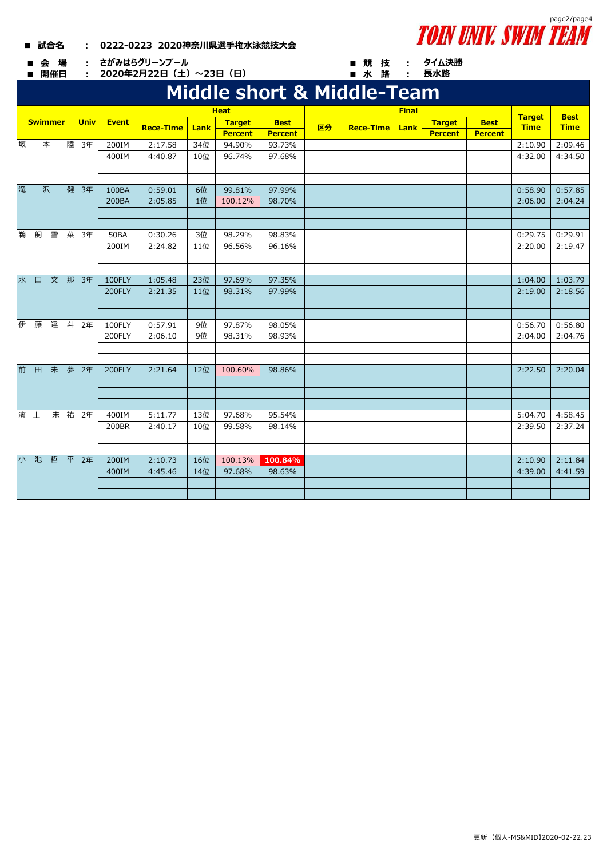## **■ 試合名 : 0222-0223 2020神奈川県選手権水泳競技大会**

**■ 会 場 : ■ 競 技 : さがみはらグリーンプール**

**■ 開催日 : ■ 水 路 : 2020年2月22日(土)~23日(日)**

## **Middle short & Middle-Team**

|    |                |     |    |             |             |                  |        | <b>Heat</b>    |                |    |                  | <b>Final</b> |                |                | <b>Target</b> | <b>Best</b> |
|----|----------------|-----|----|-------------|-------------|------------------|--------|----------------|----------------|----|------------------|--------------|----------------|----------------|---------------|-------------|
|    | <b>Swimmer</b> |     |    | <b>Univ</b> | Event       | <b>Rece-Time</b> | Lank   | <b>Target</b>  | <b>Best</b>    | 区分 | <b>Rece-Time</b> | Lank         | <b>Target</b>  | <b>Best</b>    | <b>Time</b>   | <b>Time</b> |
|    |                |     |    |             |             |                  |        | <b>Percent</b> | <b>Percent</b> |    |                  |              | <b>Percent</b> | <b>Percent</b> |               |             |
| 坂  |                | 本   | 陸  | 3年          | 200IM       | 2:17.58          | 34位    | 94.90%         | 93.73%         |    |                  |              |                |                | 2:10.90       | 2:09.46     |
|    |                |     |    |             | 400IM       | 4:40.87          | 10位    | 96.74%         | 97.68%         |    |                  |              |                |                | 4:32.00       | 4:34.50     |
|    |                |     |    |             |             |                  |        |                |                |    |                  |              |                |                |               |             |
|    |                |     |    |             |             |                  |        |                |                |    |                  |              |                |                |               |             |
| 滝  |                | 沢   | 健  | 3年          | 100BA       | 0:59.01          | 6位     | 99.81%         | 97.99%         |    |                  |              |                |                | 0:58.90       | 0:57.85     |
|    |                |     |    |             | 200BA       | 2:05.85          | 1位     | 100.12%        | 98.70%         |    |                  |              |                |                | 2:06.00       | 2:04.24     |
|    |                |     |    |             |             |                  |        |                |                |    |                  |              |                |                |               |             |
|    |                |     |    |             |             |                  |        |                |                |    |                  |              |                |                |               |             |
| 鵝  | 飼              | 雪   | 菜  | 3年          | <b>50BA</b> | 0:30.26          | 3位     | 98.29%         | 98.83%         |    |                  |              |                |                | 0:29.75       | 0:29.91     |
|    |                |     |    |             | 200IM       | 2:24.82          | 11位    | 96.56%         | 96.16%         |    |                  |              |                |                | 2:20.00       | 2:19.47     |
|    |                |     |    |             |             |                  |        |                |                |    |                  |              |                |                |               |             |
|    |                |     |    |             |             |                  |        |                |                |    |                  |              |                |                |               |             |
| 水  | $\Box$         | 文 那 |    | 3年          | 100FLY      | 1:05.48          | 23位    | 97.69%         | 97.35%         |    |                  |              |                |                | 1:04.00       | 1:03.79     |
|    |                |     |    | 200FLY      | 2:21.35     | 11位              | 98.31% | 97.99%         |                |    |                  |              |                | 2:19.00        | 2:18.56       |             |
|    |                |     |    |             |             |                  |        |                |                |    |                  |              |                |                |               |             |
|    |                |     |    |             |             |                  |        |                |                |    |                  |              |                |                |               |             |
| 伊  | 藤              | 達   | 斗  | 2年          | 100FLY      | 0:57.91          | 9位     | 97.87%         | 98.05%         |    |                  |              |                |                | 0:56.70       | 0:56.80     |
|    |                |     |    |             | 200FLY      | 2:06.10          | 9位     | 98.31%         | 98.93%         |    |                  |              |                |                | 2:04.00       | 2:04.76     |
|    |                |     |    |             |             |                  |        |                |                |    |                  |              |                |                |               |             |
|    |                |     |    |             |             |                  |        |                |                |    |                  |              |                |                |               |             |
| 前  | 田              | 未   | 夢  | 2年          | 200FLY      | 2:21.64          | 12位    | 100.60%        | 98.86%         |    |                  |              |                |                | 2:22.50       | 2:20.04     |
|    |                |     |    |             |             |                  |        |                |                |    |                  |              |                |                |               |             |
|    |                |     |    |             |             |                  |        |                |                |    |                  |              |                |                |               |             |
|    |                |     |    |             |             |                  |        |                |                |    |                  |              |                |                |               |             |
| 濱  | 上              |     | 未祐 | 2年          | 400IM       | 5:11.77          | 13位    | 97.68%         | 95.54%         |    |                  |              |                |                | 5:04.70       | 4:58.45     |
|    |                |     |    |             | 200BR       | 2:40.17          | 10位    | 99.58%         | 98.14%         |    |                  |              |                |                | 2:39.50       | 2:37.24     |
|    |                |     |    |             |             |                  |        |                |                |    |                  |              |                |                |               |             |
|    |                |     |    |             |             |                  |        |                |                |    |                  |              |                |                |               |             |
| 小。 | 池              | 哲   | 平  | 2年          | 200IM       | 2:10.73          | 16位    | 100.13%        | 100.84%        |    |                  |              |                |                | 2:10.90       | 2:11.84     |
|    |                |     |    |             | 400IM       | 4:45.46          | 14位    | 97.68%         | 98.63%         |    |                  |              |                |                | 4:39.00       | 4:41.59     |
|    |                |     |    |             |             |                  |        |                |                |    |                  |              |                |                |               |             |
|    |                |     |    |             |             |                  |        |                |                |    |                  |              |                |                |               |             |



**タイム決勝 長水路**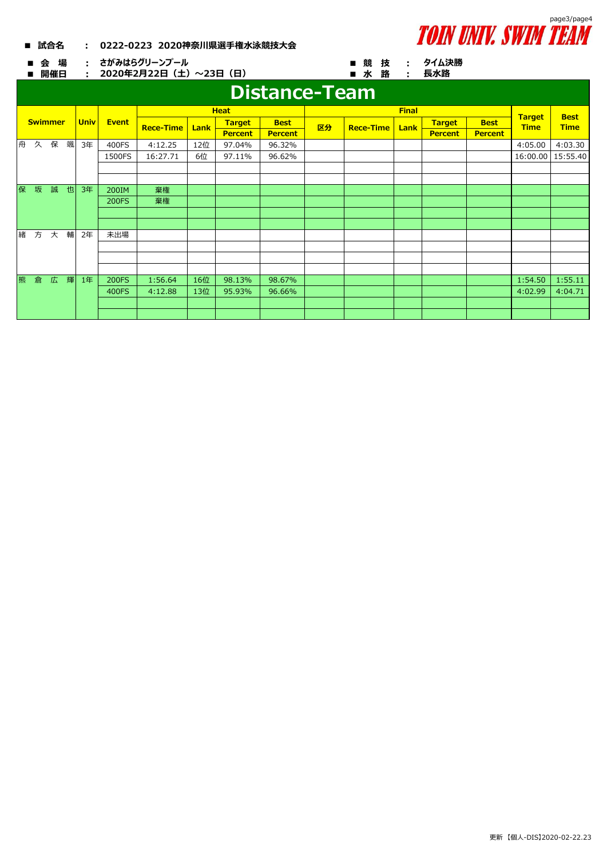

**タイム決勝 長水路**

## **■ 試合名 : 0222-0223 2020神奈川県選手権水泳競技大会**

**■ 会 場 : ■ 競 技 : さがみはらグリーンプール**

**■ 開催日 : ■ 水 路 : 2020年2月22日(土)~23日(日)**

## **Distance-Team**

| Distance-Team |   |                |   |             |              |                  |      |                |                |    |                  |               |                |                |             |             |
|---------------|---|----------------|---|-------------|--------------|------------------|------|----------------|----------------|----|------------------|---------------|----------------|----------------|-------------|-------------|
|               |   |                |   |             |              |                  |      | <b>Heat</b>    |                |    |                  | <b>Target</b> | <b>Best</b>    |                |             |             |
|               |   | <b>Swimmer</b> |   | <b>Univ</b> | <b>Event</b> | <b>Rece-Time</b> | Lank | <b>Target</b>  | <b>Best</b>    | 区分 | <b>Rece-Time</b> | <b>Lank</b>   | <b>Target</b>  | <b>Best</b>    | <b>Time</b> | <b>Time</b> |
|               |   |                |   |             |              |                  |      | <b>Percent</b> | <b>Percent</b> |    |                  |               | <b>Percent</b> | <b>Percent</b> |             |             |
| 舟             | 久 | 保              | 颯 | 3年          | 400FS        | 4:12.25          | 12位  | 97.04%         | 96.32%         |    |                  |               |                |                | 4:05.00     | 4:03.30     |
|               |   |                |   |             | 1500FS       | 16:27.71         | 6位   | 97.11%         | 96.62%         |    |                  |               |                |                | 16:00.00    | 15:55.40    |
|               |   |                |   |             |              |                  |      |                |                |    |                  |               |                |                |             |             |
|               |   |                |   |             |              |                  |      |                |                |    |                  |               |                |                |             |             |
| 保             | 坂 | 誠              | 也 | 3年          | 200IM        | 棄権               |      |                |                |    |                  |               |                |                |             |             |
|               |   |                |   |             | <b>200FS</b> | 棄権               |      |                |                |    |                  |               |                |                |             |             |
|               |   |                |   |             |              |                  |      |                |                |    |                  |               |                |                |             |             |
|               |   |                |   |             |              |                  |      |                |                |    |                  |               |                |                |             |             |
| 緒             | 方 | 大              | 輔 | 2年          | 未出場          |                  |      |                |                |    |                  |               |                |                |             |             |
|               |   |                |   |             |              |                  |      |                |                |    |                  |               |                |                |             |             |
|               |   |                |   |             |              |                  |      |                |                |    |                  |               |                |                |             |             |
|               |   |                |   |             |              |                  |      |                |                |    |                  |               |                |                |             |             |
| 熊             | 倉 | 広              | 輝 | 1年          | <b>200FS</b> | 1:56.64          | 16位  | 98.13%         | 98.67%         |    |                  |               |                |                | 1:54.50     | 1:55.11     |
|               |   |                |   |             | 400FS        | 4:12.88          | 13位  | 95.93%         | 96.66%         |    |                  |               |                |                | 4:02.99     | 4:04.71     |
|               |   |                |   |             |              |                  |      |                |                |    |                  |               |                |                |             |             |
|               |   |                |   |             |              |                  |      |                |                |    |                  |               |                |                |             |             |